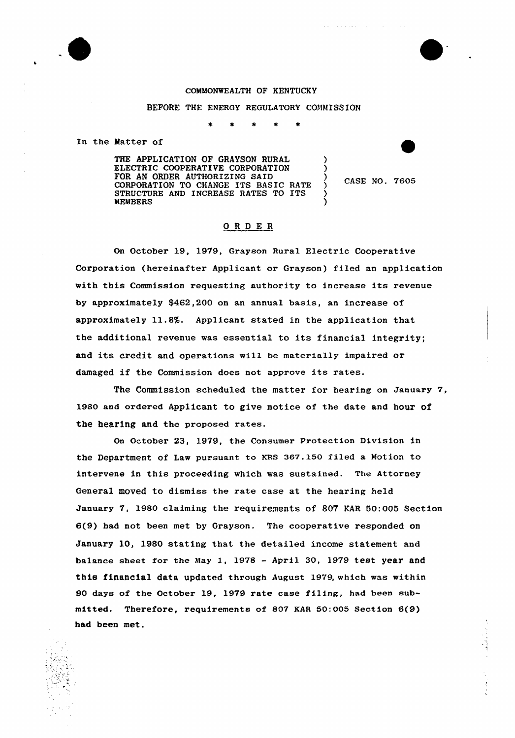



### COMMONWEALTH OF KENTUCKY

BEFORE THE ENERGY REGULATORY COMMISSION

In the Matter of

THE APPLICATION OF GRAYSON RURAL ELECTRIC COOPERATIVE CORPORATION FOR AN ORDER AUTHORIZING SAID CORPORATION TO CHANGE ITS BASIC RATE STRUCTURE AND INCREASE RATES TO ITS MEMBERS

 $\left\{\right.$  CASE NO. 7605

) )

) )

# ORDER

On October 19, 1979, Grayson Rural Electric Cooperative Corporation (hereinafter Applicant or Grayson) filed an application with this Commission requesting authority to increase its revenue by approximately \$462,200 on an annual basis, an increase of approximately 11.8%. Applicant stated in the application that the additional revenue was essential to its financial integrity; and its credit and operations will be materia11y impaired or damaged if the Commission does not approve its rates.

The Commission scheduled the matter for hearing on January 7, 1980 and ordered Applicant to give notice of the date and hour of the hearing and the proposed rates.

On October 23, 1979, the Consumer Protection Division in the Department of Law pursuant to KRS 367.150 filed a Motion to intervene in this proceeding which was sustained. The Attorney General moved to dismiss the rate case at the hearing held January 7, 1980 claiming the requirements of 807 KAR 50:005 Section 6(9) had not been met by Grayson. The cooperative responded on January 10, 1980 stating that the detailed income statement and balance sheet for the May 1, 1978 - April 30, 1979 test year and this financial data updated through August 1979, which was within 90 days of the October 19, 1979 rate case fi1ing, had been submitted, Therefore, requirements of 807 KAR 50:005 Section 6(9) had been met.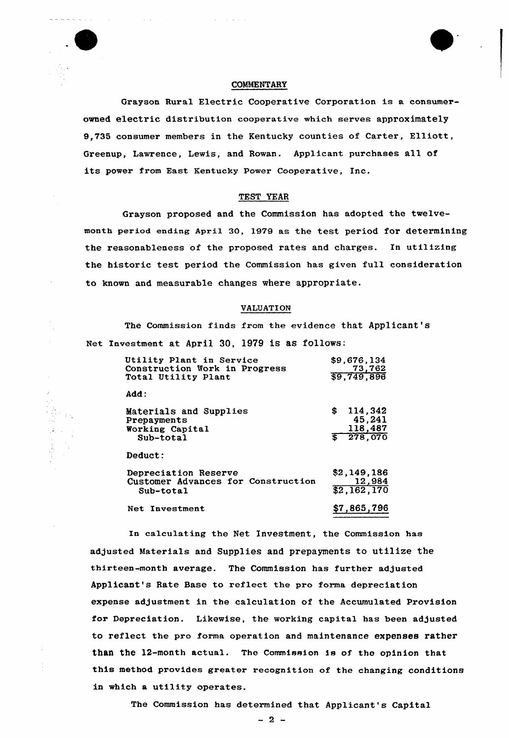# COMMENTARY

Grayson Rural Electric Cooperative Corporation is a consumerowned electric distribution cooperative which serves approximately 9,735 consumer members in the Kentucky counties of Carter, Elliott, Greenup, Lawrence, Lewis, and Rowan. Applicant purchases all of its power from East Kentucky Power Cooperative, Inc.

## TEST YEAR

Grayson proposed and the Commission has adopted the twelvemonth period ending April 30, 1979 as the test period for determining the reasonableness of the proposed rates and charges. In utilizing the historic test period the Commission has given full consideration to known and measurable changes where appropriate.

#### VALUATION

The Commission finds from the evidence that Applicant's Net Investment at April 30, 1979 is as follows:

| Utility Plant in Service<br>Construction Work in Progress<br>Total Utility Plant | \$9,676,134<br>73,762<br>\$9,749,896             |
|----------------------------------------------------------------------------------|--------------------------------------------------|
| Add:                                                                             |                                                  |
| Materials and Supplies<br>Prepayments<br>Working Capital<br>Sub-total            | \$<br>114,342<br>45,241<br>118,487<br>\$ 278,070 |
| Deduct:                                                                          |                                                  |
| Depreciation Reserve<br>Customer Advances for Construction<br>Sub-total          | \$2,149,186<br>12,984<br>\$2,162,170             |
| Net Investment                                                                   | \$7,865,796                                      |

In calculating the Net Investment, the Commission has adjusted Materials and Supplies and prepayments to utilize the thirteen-month average. The Commission has further adjusted Applicant's Rate Base to reflect the pro forma depreciation expense adjustment in the calculation of the Accumulated Provision for Depreciation. Likewise, the working capital has been adjusted to reflect the pro forma operation and maintenance expenses rather than the 12-month actual. The Commission is of the opinion that this method provides greater recognition of the changing conditions in which a utility operates.

The Commission has determined that Applicant's Capital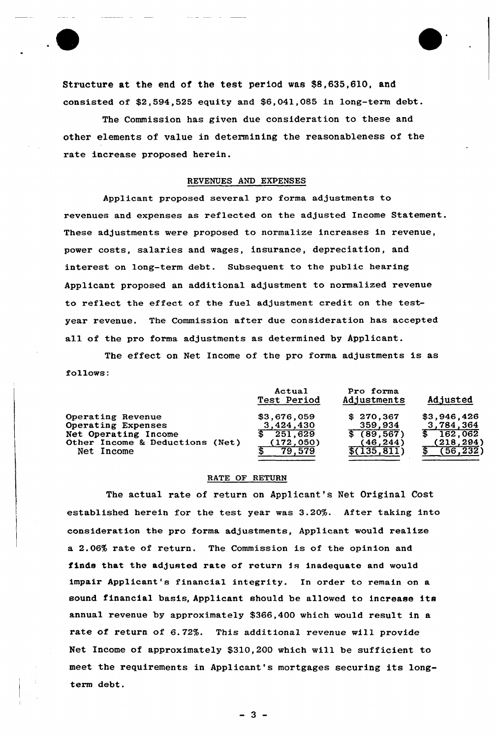

Structure at the end of the test period was \$8,635,610, and consisted of  $$2,594,525$  equity and  $$6,041,085$  in long-term debt.

The Commission has given due consideration to these and other elements of value in determining the reasonableness of the rate increase proposed herein.

# REVENUES AND EXPENSES

Applicant proposed several pro forma adjustments to revenues and expenses as reflected on the adjusted Income Statement. These adjustments were proposed to normalize increases in revenue, power costs, salaries and wages, insurance, depreciation, and interest on long-term debt. Subsequent to the public hearing Applicant proposed an additional adjustment to normalized revenue to reflect the effect of the fuel adjustment credit on the testyear revenue. The Commission after due consideration has accepted all of the pro forma adjustments as determined by Applicant.

The effect on Net Income of the pro forma adjustments is as follows:

|                                 | Actual<br>Test Period | Pro forma<br>Adjustments | Adjusted    |
|---------------------------------|-----------------------|--------------------------|-------------|
| Operating Revenue               | \$3,676,059           | \$270,367                | \$3,946,426 |
| Operating Expenses              | 3,424,430             | 359,934                  | 3,784,364   |
| Net Operating Income            | 251,629               | \$(89, 567)              | \$162,062   |
| Other Income & Deductions (Net) | (172, 050)            | (46.244)                 | (218, 294)  |
| Net Income                      | 79.579                | \$(135, 811)             | (56, 232)   |

#### RATE OF RETURN

The actual rate of return on Applicant's Net Original Cost established herein for the test year was 3.20%. After taking into consideration the pro forma adjustments, Applicant would realize a 2.06% rate of return. The Commission is of the opinion and finds that the adjusted rate of return is inadequate and would impair Applicant's financial integrity. In order to remain on a sound financial basis, Applicant should be allowed to increase its annual revenue by approximately \$366,400 which would result in a rate of return of 6. 72%. This additional revenue will provide Net Income of approximately \$310,200 which will be sufficient to meet the requirements in Applicant's mortgages securing its longterm debt.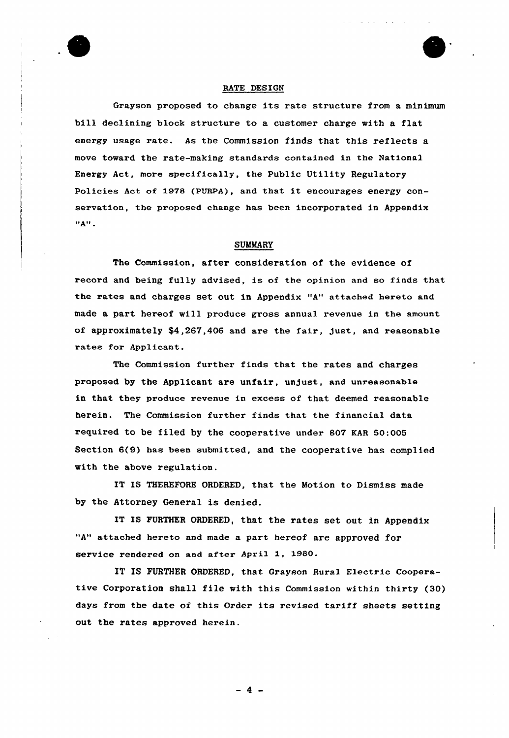

## RATE DESIGN

Grayson proposed to change its rate structure from <sup>a</sup> minimum bill declining block structure to a customer charge with a flat energy usage rate. As the Commission finds that this reflects a move toward the rate-making standards contained in the National Energy Act, more specifically, the Public Utility Regulatory Policies Act of 1978 (PURPA), and that it encourages energy conservation, the proposed change has been incorporated in Appendix  $"A"$ .

## SUMMARY

The Commission, after consideration of the evidence of record and being fully advised, is of the cpinion and so finds that the rates and charges set out in Appendix "A" attached hereto and made a part hereof will produce gross annual revenue in the amount of approximately \$4,267,406 and are the fair, just, and reasonable rates for Applicant.

The Commission further finds that the rates and charges proposed by the Applicant are unfair, unjust, and unreasonable in that they produce revenue in excess of that deemed reasonable herein. The Commission further finds that the financial data required to be filed by the cooperative under 807 KAR 50:005 Section 6(9) has been submitted, and the cooperative has complied with the above regulation.

IT IS THEREFORE ORDERED, that the Motion to Dismiss made by the Attorney General is denied.

IT IS FURTHER ORDERED, that the rates set out in Appendix "A" attached hereto and made a part hereof are approved for service rendered on and after April 1, 1980.

IT IS FURTHER ORDERED, that Grayson Rural Electric Cooperative Corporation shall file with this Commission within thirty (30) days from the date of this Order its revised tariff sheets setting out the rates approved herein.

4.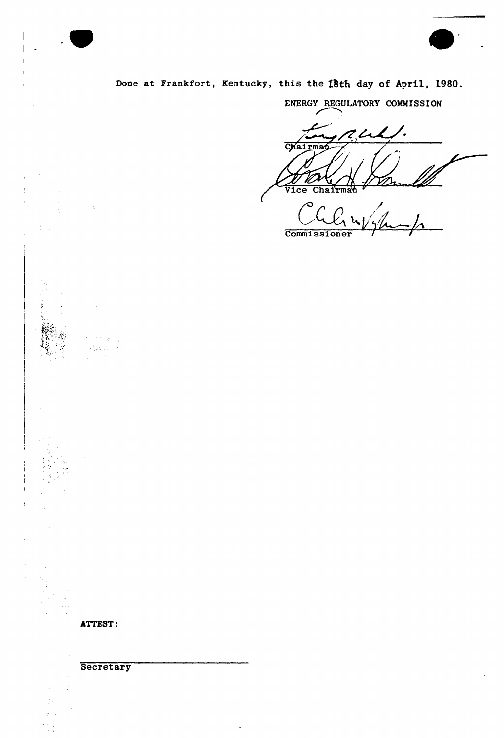



# Done at Frankfort, Kentucky, this the 18th day of April, 1980.

ENERGY REGULATORY COMMISSION

TL  $\overline{\phantom{a}}$ Chairman h **Vice** Chairman  $\bullet$ 

 $\bigcap$ Commissioner

ATTEST:

**Secretary**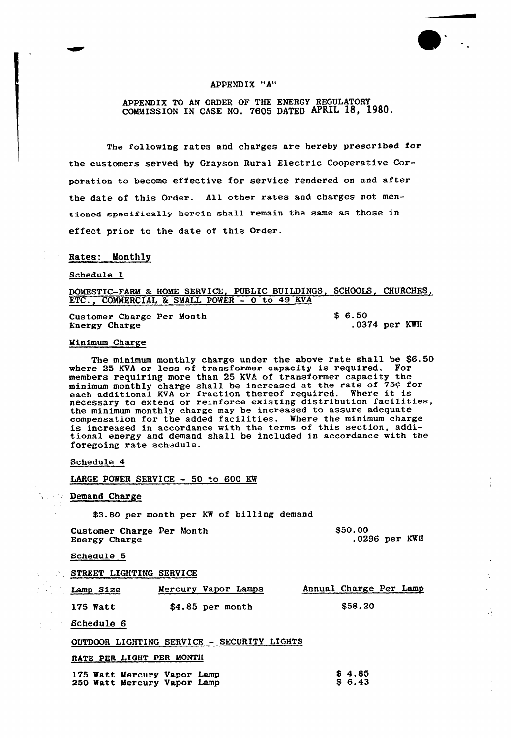## APPENDIX "A"

APPENDIX TO AN ORDER OF THE ENERGY REGULATORY COMMISSION IN CASE NO. 7605 DATED APRIL 18, 1980.

The following rates and charges are hereby prescribed for the customers served by Grayson Rural Electric Cooperative Corporation to become effective for service rendered on and after the date of this Order. All other rates and charges not mentioned specifically herein shall remain the same as those in effect prior to the date of this Order.

#### Rates: Monthly

#### Schedule 1

DOMESTIC-FARM & HOME SERVICE, PUBLIC BUILDINGS, SCHOOLS, CHURCHES, ETC., COMMERCIAL & SMALL POWER - 0 to 49 KVA

Customer Charge Per Month Energy Charge

\$ 6.50 .0374 per KWH

#### Minimum Charge

The minimum monthly charge under the above rate shall be \$6.50 where 25 KVA or less of transformer capacity is required. members requiring more than 25 KVA of transformer capacity the members requiring more than 25 KVA or transformer capacity the<br>minimum monthly charge shall be increased at the rate of 75¢ for<br>each additional KVA or fraction thereof required. Where it is each additional KVA or iraction thereof required. Where it is<br>necessary to extend or reinforce existing distribution facilities the minimum monthly charge may be increased to assure adequate compensation for the added facilities. Where the minimum charge is increased in accordance with the terms of this section, additional energy and demand shall be included in accordance with the foregoing rate schedule.

Schedule 4

LARGE POWER SERVICE — 50 to 600 KW

#### Demand Charge

\$3.80 per month per KW of billing demand

Customer Charge Per Month Energy Charge \$50.00 .0296 per KWH

Schedule 5

STREET LIGHTING SERVICE

| Lamp Size | Mercury Vapor Lamps | Annual Charge Per Lamp |
|-----------|---------------------|------------------------|
| 175 Watt  | $$4.85$ per month   | \$58.20                |

Schedule 6

#### OUTDOOR LIGHTING SERVICE — SECURITY LIGHTS

RATE PER LIGHT PER MONTH

|  | 175 Watt Mercury Vapor Lamp<br>250 Watt Mercury Vapor Lamp |  | \$4.85<br>S 6.43 |
|--|------------------------------------------------------------|--|------------------|
|  |                                                            |  |                  |